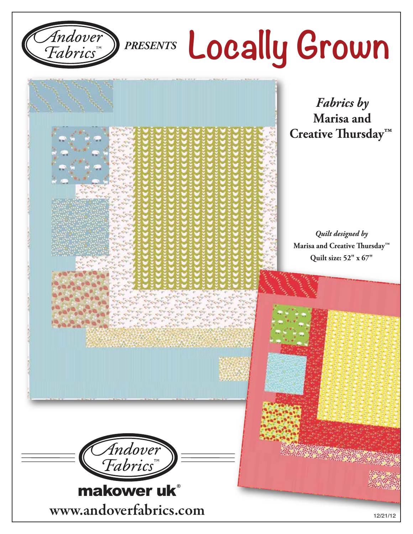

## *PRESENTS* **Locally Grown**



*Fabrics by* **Marisa and** Creative Thursday<sup>™</sup>

*Quilt designed by* Marisa and Creative Thursday<sup>™</sup> **Quilt size: 52" x 67"**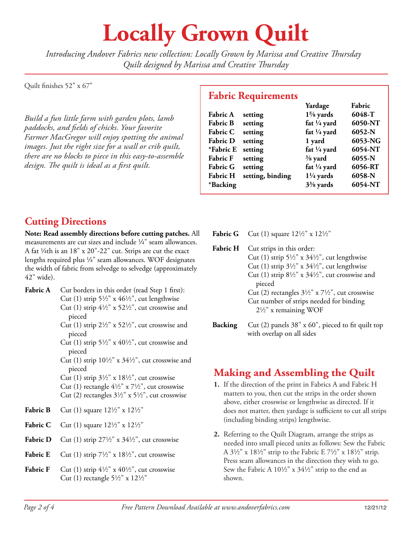# **Locally Grown Quilt**

*Introducing Andover Fabrics new collection: Locally Grown by Marissa and Creative Thursday Quilt designed by Marissa and Creative Thursday* 

Quilt finishes 52" x 67"

*Build a fun little farm with garden plots, lamb paddocks, and elds of chicks. Your favorite Farmer MacGregor will enjoy spotting the animal images. Just the right size for a wall or crib quilt, there are no blocks to piece in this easy-to-assemble design. The quilt is ideal as a first quilt.* 

#### **Fabric Requirements**

|                 |                  | Yardage                | Fabric  |
|-----------------|------------------|------------------------|---------|
| <b>Fabric A</b> | setting          | $1\frac{5}{8}$ yards   | 6048-T  |
| <b>Fabric B</b> | setting          | fat $\frac{1}{4}$ yard | 6050-NT |
| Fabric C        | setting          | fat $\frac{1}{4}$ yard | 6052-N  |
| <b>Fabric D</b> | setting          | 1 yard                 | 6053-NG |
| *Fabric E       | setting          | fat $\frac{1}{4}$ yard | 6054-NT |
| <b>Fabric F</b> | setting          | $\frac{3}{8}$ yard     | 6055-N  |
| <b>Fabric G</b> | setting          | fat $\frac{1}{4}$ yard | 6056-RT |
| <b>Fabric H</b> | setting, binding | $1\frac{1}{4}$ yards   | 6058-N  |
| *Backing        |                  | $3\frac{3}{8}$ yards   | 6054-NT |
|                 |                  |                        |         |

### **Cutting Directions**

**Note: Read assembly directions before cutting patches.** All measurements are cut sizes and include  $\frac{1}{4}$ " seam allowances. A fat  $\frac{1}{4}$ th is an  $18"$  x  $20"$ - $22"$  cut. Strips are cut the exact lengths required plus  $\frac{1}{4}$ " seam allowances. WOF designates the width of fabric from selvedge to selvedge (approximately 42" wide).

- **Fabric A** Cut borders in this order (read Step 1 first): Cut (1) strip  $5\frac{1}{2}$ " x  $46\frac{1}{2}$ ", cut lengthwise Cut (1) strip  $4\frac{1}{2}$ " x 52 $\frac{1}{2}$ ", cut crosswise and pieced
	- Cut (1) strip  $2\frac{1}{2}$ " x 52 $\frac{1}{2}$ ", cut crosswise and pieced
	- Cut (1) strip  $5\frac{1}{2}$ " x  $40\frac{1}{2}$ ", cut crosswise and pieced
	- Cut (1) strip  $10^{1/2}$ " x  $34^{1/2}$ ", cut crosswise and pieced
	- Cut (1) strip  $3\frac{1}{2}$ " x  $18\frac{1}{2}$ ", cut crosswise
	- Cut (1) rectangle  $4\frac{1}{2}$ " x  $7\frac{1}{2}$ ", cut crosswise Cut (2) rectangles  $3\frac{1}{2}$ " x  $5\frac{1}{2}$ ", cut crosswise
- **Fabric B** Cut (1) square  $12\frac{1}{2}$  x  $12\frac{1}{2}$
- **Fabric C** Cut (1) square  $12\frac{1}{2}$  x  $12\frac{1}{2}$
- **Fabric D** Cut (1) strip  $27\frac{1}{2}$ " x  $34\frac{1}{2}$ ", cut crosswise
- **Fabric E** Cut (1) strip  $7\frac{1}{2}$ " x  $18\frac{1}{2}$ ", cut crosswise
- **Fabric F** Cut (1) strip  $4\frac{1}{2}$ " x  $40\frac{1}{2}$ ", cut crosswise Cut (1) rectangle  $5\frac{1}{2}$ " x  $12\frac{1}{2}$ "
- **Fabric G** Cut (1) square  $12\frac{1}{2}$  x  $12\frac{1}{2}$ "
- Fabric H Cut strips in this order: Cut (1) strip  $5\frac{1}{2}$ " x  $34\frac{1}{2}$ ", cut lengthwise Cut (1) strip  $3\frac{1}{2}$ " x  $3\frac{4}{2}$ ", cut lengthwise Cut (1) strip  $8\frac{1}{2}$ " x  $34\frac{1}{2}$ ", cut crosswise and pieced Cut (2) rectangles  $3\frac{1}{2}$ " x  $7\frac{1}{2}$ ", cut crosswise Cut number of strips needed for binding  $2\frac{1}{2}$ " x remaining WOF
- **Backing** Cut (2) panels 38" x 60", pieced to fit quilt top with overlap on all sides

## **Making and Assembling the Quilt**

- **1.** If the direction of the print in Fabrics A and Fabric H matters to you, then cut the strips in the order shown above, either crosswise or lengthwise as directed. If it does not matter, then yardage is sufficient to cut all strips (including binding strips) lengthwise.
- **2.** Referring to the Quilt Diagram, arrange the strips as needed into small pieced units as follows: Sew the Fabric A  $3\frac{1}{2}$ " x  $18\frac{1}{2}$ " strip to the Fabric E  $7\frac{1}{2}$ " x  $18\frac{1}{2}$ " strip. Press seam allowances in the direction they wish to go. Sew the Fabric A  $10\frac{1}{2}$ " x  $34\frac{1}{2}$ " strip to the end as shown.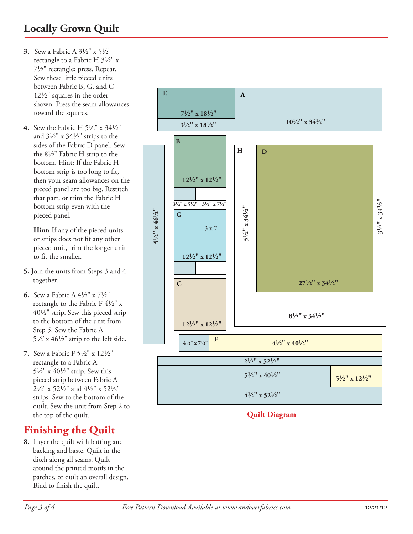- **3.** Sew a Fabric A  $3\frac{1}{2}$ " x  $5\frac{1}{2}$ " rectangle to a Fabric H  $3\frac{1}{2}$ " x 7½" rectangle; press. Repeat. Sew these little pieced units between Fabric B, G, and C  $12\frac{1}{2}$ " squares in the order shown. Press the seam allowances toward the squares.
- **4.** Sew the Fabric H 5½" x 34½" and  $3\frac{1}{2}$ " x  $3\frac{4\frac{1}{2}}{2}$ " strips to the sides of the Fabric D panel. Sew the 8½" Fabric H strip to the bottom. Hint: If the Fabric H bottom strip is too long to fit, then your seam allowances on the pieced panel are too big. Restitch that part, or trim the Fabric H bottom strip even with the pieced panel.

 **Hint:** If any of the pieced units or strips does not fit any other pieced unit, trim the longer unit to fit the smaller.

- **5.** Join the units from Steps 3 and 4 together.
- **6.** Sew a Fabric A  $4\frac{1}{2}$ " x  $7\frac{1}{2}$ " rectangle to the Fabric F  $4\frac{1}{2}$ " x  $40\frac{1}{2}$ " strip. Sew this pieced strip to the bottom of the unit from Step 5. Sew the Fabric A  $5\frac{1}{2}$ "x  $46\frac{1}{2}$ " strip to the left side.
- **7.** Sew a Fabric F 51/2" x 121/2" rectangle to a Fabric A  $5\frac{1}{2}$ " x  $40\frac{1}{2}$ " strip. Sew this pieced strip between Fabric A 21/2" x 521/2" and 41/2" x 521/2" strips. Sew to the bottom of the quilt. Sew the unit from Step 2 to the top of the quilt.

#### **Finishing the Quilt**

**8.** Layer the quilt with batting and backing and baste. Quilt in the ditch along all seams. Quilt around the printed motifs in the patches, or quilt an overall design. Bind to finish the quilt.



#### **Quilt Diagram**